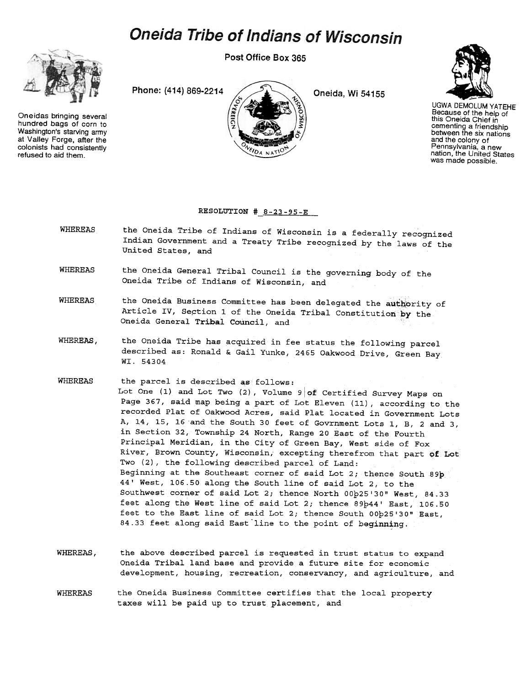## **Oneida Tribe of Indians of Wisconsin**

Post Office Box 365



Oneidas bringing several hundred bags of corn to Washington's starving army at Valley Forge. after the colonists had consistently  $V_{\ell D_A N_A T}^{V_{\ell D_A N_A T}}$  refused to aid them.





UGWA DEMOLUM YATEHE Because of the help of this Oneida Chief in cementing a friendship between the six nations and the colony of Pennsylvania, a new nation, the United States was made possible.

## RESOLUTION  $\frac{8-23-95-E}{2}$

- WHEREAS the Oneida Tribe of Indians of Wisconsin is a federally recognized Indian Government and a Treaty Tribe recognized by the laws of the United States, and
- WHEREAS the Oneida General Tribal Council is the governing body of the Oneida Tribe of Indians of Wisconsin, and
- WHEREAS the Oneida Business Committee has been delegated the authority of Article IV, Section 1 of the Oneida Tribal Constitution by the Oneida General Tribal Council, and
- WHEREAS, the Oneida Tribe has acquired in fee status the following parcel described as: Ronald & Gail Yunke, 2465 Oakwood Drive, Green Bay WI. 54304
- WHEREAS the parcel is described as follows: Lot One (1) and Lot Two (2), Volume  $9|$  of Certified Survey Maps on Page 367, said map being a part o£ Lot Eleven (11), according to the recorded Plat of Oakwood Acres, said Plat located in Government Lots A, 14, 15, 16 and the South 30 feet of Govrnment Lots 1, B, 2 and 3, in Section 32, Township 24 North, Range 20 East of the Fourth Principal Meridian, in the City of Green Bay, West side of Fox River, Brown County, Wisconsin, excepting therefrom that part of Lot Two (2), the following described parcel of Land: Beginning at the Southeast corner of said Lot 2; thence South 89p 44' West, 106.50 along the South line of said Lot 2, to the Southwest corner of said Lot 2; thence North 00p25'30" West, 84.33 feet along the West line of said Lot 2; thence 89b44' East,  $106.50$ feet to the East line of said Lot 2; thence South 00p25'30" East, 84.33 feet along said East line to the point of beginning.
- WHEREAS, the above described parcel is requested in trust status to expand Oneida Tribal land base and provide a future site for economic development, housing, recreation, conservancy, and agriculture, and
- WHEREAS the Oneida Business Committee certifies that the local property taxes will be paid up to trust placement, and